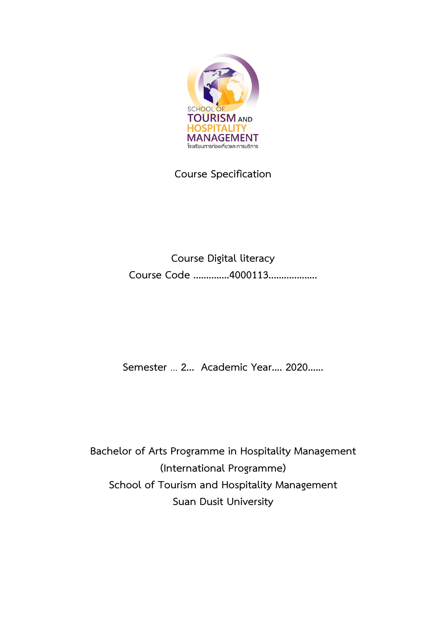

**Course Specification**

**Course Digital literacy Course Code ..............4000113...................**

**Semester** ... **2... Academic Year.... 2020......** 

**Bachelor of Arts Programme in Hospitality Management (International Programme) School of Tourism and Hospitality Management Suan Dusit University**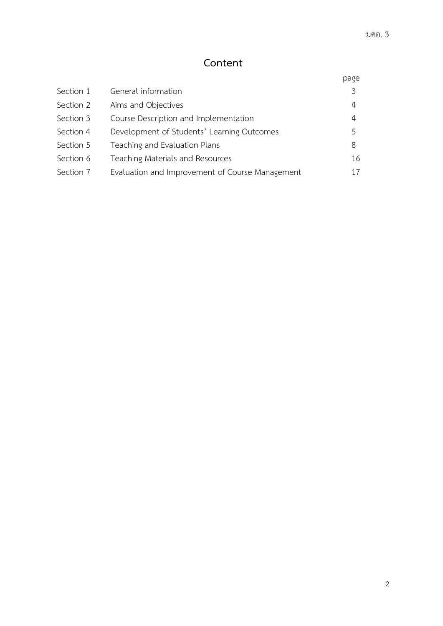# **Content**

|           |                                                 | page |
|-----------|-------------------------------------------------|------|
| Section 1 | General information                             | 3    |
| Section 2 | Aims and Objectives                             | 4    |
| Section 3 | Course Description and Implementation           | 4    |
| Section 4 | Development of Students' Learning Outcomes      | 5    |
| Section 5 | Teaching and Evaluation Plans                   | 8    |
| Section 6 | Teaching Materials and Resources                | 16   |
| Section 7 | Evaluation and Improvement of Course Management | 17   |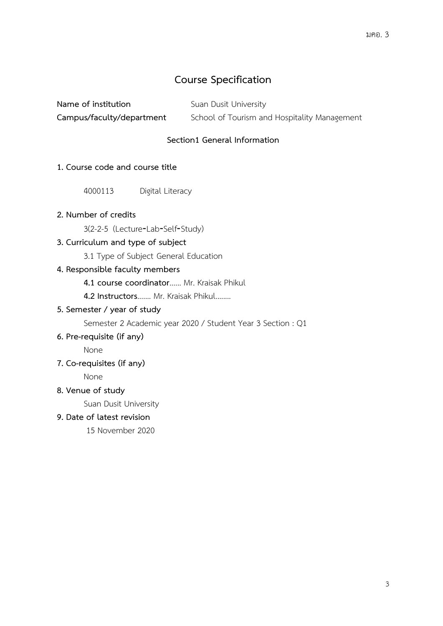# **Course Specification**

| Name of institution       | Suan Dusit University                        |
|---------------------------|----------------------------------------------|
| Campus/faculty/department | School of Tourism and Hospitality Management |

## **Section1 General Information**

### **1. Course code and course title**

4000113 Digital Literacy

## **2. Number of credits**

3(2-2-5 (Lecture‐Lab‐Self‐Study)

## **3. Curriculum and type of subject**

3.1 Type of Subject General Education

#### **4. Responsible faculty members**

**4.1 course coordinator**...... Mr. Kraisak Phikul

**4.2 Instructors**....... Mr. Kraisak Phikul........

#### **5. Semester / year of study**

Semester 2 Academic year 2020 / Student Year 3 Section : Q1

### **6. Pre-requisite (if any)**

None

### **7. Co-requisites (if any)**

None

## **8. Venue of study**

Suan Dusit University

## **9. Date of latest revision**

15 November 2020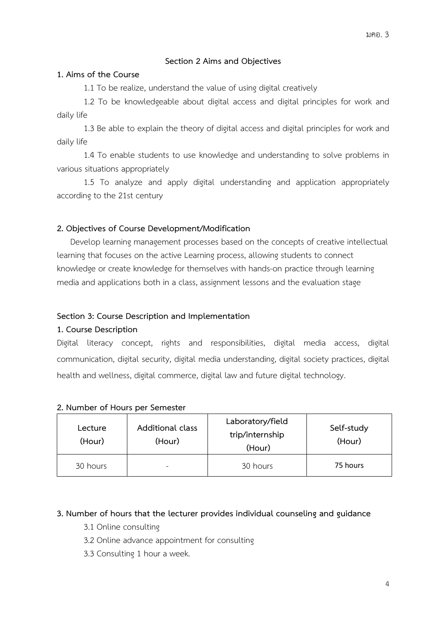## **Section 2 Aims and Objectives**

#### **1. Aims of the Course**

1.1 To be realize, understand the value of using digital creatively

1.2 To be knowledgeable about digital access and digital principles for work and daily life

1.3 Be able to explain the theory of digital access and digital principles for work and daily life

1.4 To enable students to use knowledge and understanding to solve problems in various situations appropriately

1.5 To analyze and apply digital understanding and application appropriately according to the 21st century

## **2. Objectives of Course Development/Modification**

Develop learning management processes based on the concepts of creative intellectual learning that focuses on the active Learning process, allowing students to connect knowledge or create knowledge for themselves with hands-on practice through learning media and applications both in a class, assignment lessons and the evaluation stage

## **Section 3: Course Description and Implementation**

#### **1. Course Description**

Digital literacy concept, rights and responsibilities, digital media access, digital communication, digital security, digital media understanding, digital society practices, digital health and wellness, digital commerce, digital law and future digital technology.

#### **2. Number of Hours per Semester**

| Lecture<br>(Hour) | Additional class<br>(Hour) | Laboratory/field<br>trip/internship<br>(Hour) | Self-study<br>(Hour) |
|-------------------|----------------------------|-----------------------------------------------|----------------------|
| 30 hours          | -                          | 30 hours                                      | 75 hours             |

#### **3. Number of hours that the lecturer provides individual counseling and guidance**

- 3.1 Online consulting
- 3.2 Online advance appointment for consulting
- 3.3 Consulting 1 hour a week.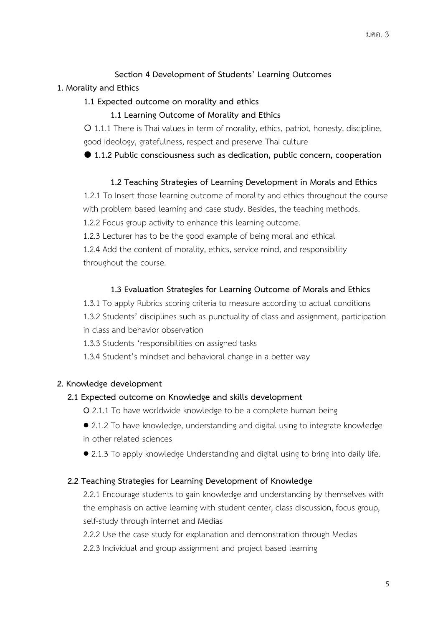# **Section 4 Development of Students' Learning Outcomes**

## **1. Morality and Ethics**

## **1.1 Expected outcome on morality and ethics**

**1.1 Learning Outcome of Morality and Ethics**

 1.1.1 There is Thai values in term of morality, ethics, patriot, honesty, discipline, good ideology, gratefulness, respect and preserve Thai culture

**1.1.2 Public consciousness such as dedication, public concern, cooperation**

## **1.2 Teaching Strategies of Learning Development in Morals and Ethics**

1.2.1 To Insert those learning outcome of morality and ethics throughout the course with problem based learning and case study. Besides, the teaching methods.

1.2.2 Focus group activity to enhance this learning outcome.

1.2.3 Lecturer has to be the good example of being moral and ethical

1.2.4 Add the content of morality, ethics, service mind, and responsibility throughout the course.

## **1.3 Evaluation Strategies for Learning Outcome of Morals and Ethics**

1.3.1 To apply Rubrics scoring criteria to measure according to actual conditions 1.3.2 Students' disciplines such as punctuality of class and assignment, participation in class and behavior observation

1.3.3 Students 'responsibilities on assigned tasks

1.3.4 Student's mindset and behavioral change in a better way

## **2. Knowledge development**

## **2.1 Expected outcome on Knowledge and skills development**

**O** 2.1.1 To have worldwide knowledge to be a complete human being

- 2.1.2 To have knowledge, understanding and digital using to integrate knowledge in other related sciences
- 2.1.3 To apply knowledge Understanding and digital using to bring into daily life.

## **2.2 Teaching Strategies for Learning Development of Knowledge**

2.2.1 Encourage students to gain knowledge and understanding by themselves with the emphasis on active learning with student center, class discussion, focus group, self-study through internet and Medias

2.2.2 Use the case study for explanation and demonstration through Medias

2.2.3 Individual and group assignment and project based learning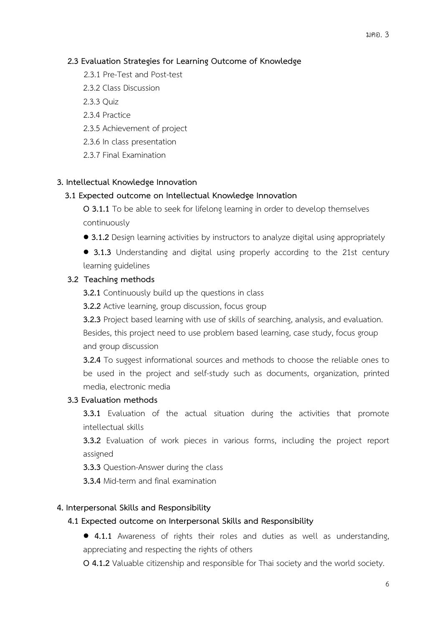#### มคอ. 3

## **2.3 Evaluation Strategies for Learning Outcome of Knowledge**

- 2.3.1 Pre-Test and Post-test
- 2.3.2 Class Discussion
- 2.3.3 Quiz
- 2.3.4 Practice
- 2.3.5 Achievement of project
- 2.3.6 In class presentation
- 2.3.7 Final Examination

#### **3. Intellectual Knowledge Innovation**

#### **3.1 Expected outcome on Intellectual Knowledge Innovation**

**O 3.1.1** To be able to seek for lifelong learning in order to develop themselves continuously

• **3.1.2** Design learning activities by instructors to analyze digital using appropriately

• **3.1.3** Understanding and digital using properly according to the 21st century learning guidelines

## **3.2 Teaching methods**

**3.2.1** Continuously build up the questions in class

**3.2.2** Active learning, group discussion, focus group

**3.2.3** Project based learning with use of skills of searching, analysis, and evaluation.

Besides, this project need to use problem based learning, case study, focus group and group discussion

**3.2.4** To suggest informational sources and methods to choose the reliable ones to be used in the project and self-study such as documents, organization, printed media, electronic media

#### **3.3 Evaluation methods**

**3.3.1** Evaluation of the actual situation during the activities that promote intellectual skills

**3.3.2** Evaluation of work pieces in various forms, including the project report assigned

**3.3.3** Question-Answer during the class

**3.3.4** Mid-term and final examination

#### **4. Interpersonal Skills and Responsibility**

#### **4.1 Expected outcome on Interpersonal Skills and Responsibility**

• **4.1.1** Awareness of rights their roles and duties as well as understanding, appreciating and respecting the rights of others

**O 4.1.2** Valuable citizenship and responsible for Thai society and the world society.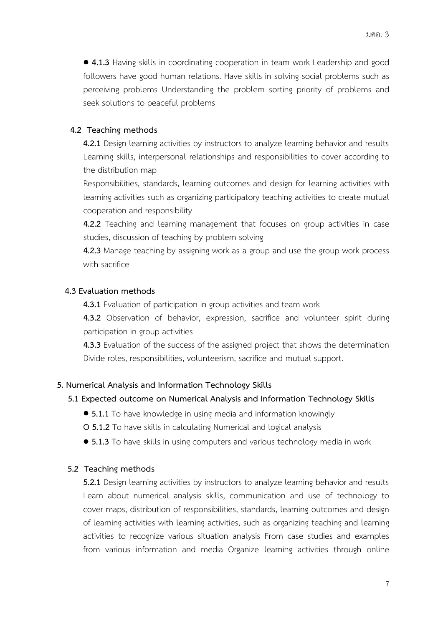• **4.1.3** Having skills in coordinating cooperation in team work Leadership and good followers have good human relations. Have skills in solving social problems such as perceiving problems Understanding the problem sorting priority of problems and seek solutions to peaceful problems

#### **4.2 Teaching methods**

**4.2.1** Design learning activities by instructors to analyze learning behavior and results Learning skills, interpersonal relationships and responsibilities to cover according to the distribution map

Responsibilities, standards, learning outcomes and design for learning activities with learning activities such as organizing participatory teaching activities to create mutual cooperation and responsibility

**4.2.2** Teaching and learning management that focuses on group activities in case studies, discussion of teaching by problem solving

**4.2.3** Manage teaching by assigning work as a group and use the group work process with sacrifice

#### **4.3 Evaluation methods**

**4.3.1** Evaluation of participation in group activities and team work

**4.3.2** Observation of behavior, expression, sacrifice and volunteer spirit during participation in group activities

**4.3.3** Evaluation of the success of the assigned project that shows the determination Divide roles, responsibilities, volunteerism, sacrifice and mutual support.

#### **5. Numerical Analysis and Information Technology Skills**

#### **5.1 Expected outcome on Numerical Analysis and Information Technology Skills**

- **5.1.1** To have knowledge in using media and information knowingly
- **O 5.1.2** To have skills in calculating Numerical and logical analysis
- **5.1.3** To have skills in using computers and various technology media in work

#### **5.2 Teaching methods**

**5.2.1** Design learning activities by instructors to analyze learning behavior and results Learn about numerical analysis skills, communication and use of technology to cover maps, distribution of responsibilities, standards, learning outcomes and design of learning activities with learning activities, such as organizing teaching and learning activities to recognize various situation analysis From case studies and examples from various information and media Organize learning activities through online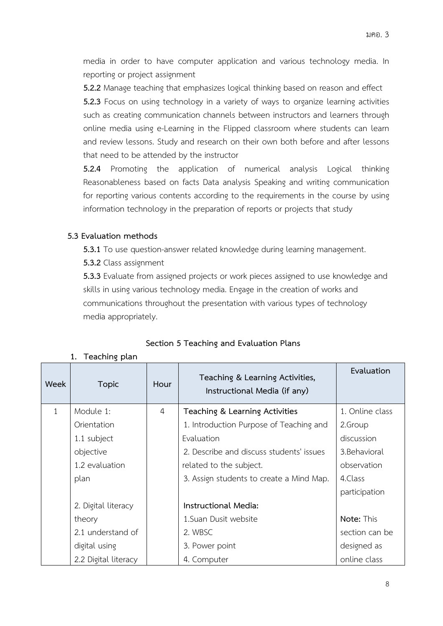media in order to have computer application and various technology media. In reporting or project assignment

**5.2.2** Manage teaching that emphasizes logical thinking based on reason and effect **5.2.3** Focus on using technology in a variety of ways to organize learning activities such as creating communication channels between instructors and learners through online media using e-Learning in the Flipped classroom where students can learn and review lessons. Study and research on their own both before and after lessons that need to be attended by the instructor

**5.2.4** Promoting the application of numerical analysis Logical thinking Reasonableness based on facts Data analysis Speaking and writing communication for reporting various contents according to the requirements in the course by using information technology in the preparation of reports or projects that study

## **5.3 Evaluation methods**

**1. Teaching plan**

**5.3.1** To use question-answer related knowledge during learning management.

**5.3.2** Class assignment

**5.3.3** Evaluate from assigned projects or work pieces assigned to use knowledge and skills in using various technology media. Engage in the creation of works and communications throughout the presentation with various types of technology media appropriately.

| Week         | <b>Topic</b>         | Hour           | Teaching & Learning Activities,<br>Instructional Media (if any) | Evaluation      |
|--------------|----------------------|----------------|-----------------------------------------------------------------|-----------------|
| $\mathbf{1}$ | Module 1:            | $\overline{4}$ | Teaching & Learning Activities                                  | 1. Online class |
|              | Orientation          |                | 1. Introduction Purpose of Teaching and                         | 2.Group         |
|              | 1.1 subject          |                | Evaluation                                                      | discussion      |
|              | objective            |                | 2. Describe and discuss students' issues                        | 3. Behavioral   |
|              | 1.2 evaluation       |                | related to the subject.                                         | observation     |
|              | plan                 |                | 3. Assign students to create a Mind Map.                        | 4.Class         |
|              |                      |                |                                                                 | participation   |
|              | 2. Digital literacy  |                | Instructional Media:                                            |                 |
|              | theory               |                | 1. Suan Dusit website                                           | Note: This      |
|              | 2.1 understand of    |                | 2. WBSC                                                         | section can be  |
|              | digital using        |                | 3. Power point                                                  | designed as     |
|              | 2.2 Digital literacy |                | 4. Computer                                                     | online class    |

## **Section 5 Teaching and Evaluation Plans**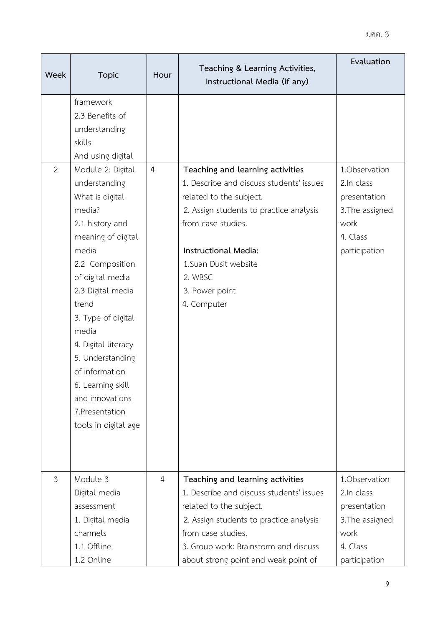| Week           | <b>Topic</b>                                                                                                                                                                                                                                                                                                                                                                                                                                          | Hour           | Teaching & Learning Activities,<br>Instructional Media (if any)                                                                                                                                                                                                      | Evaluation                                                                                          |
|----------------|-------------------------------------------------------------------------------------------------------------------------------------------------------------------------------------------------------------------------------------------------------------------------------------------------------------------------------------------------------------------------------------------------------------------------------------------------------|----------------|----------------------------------------------------------------------------------------------------------------------------------------------------------------------------------------------------------------------------------------------------------------------|-----------------------------------------------------------------------------------------------------|
| $\overline{2}$ | framework<br>2.3 Benefits of<br>understanding<br>skills<br>And using digital<br>Module 2: Digital<br>understanding<br>What is digital<br>media?<br>2.1 history and<br>meaning of digital<br>media<br>2.2 Composition<br>of digital media<br>2.3 Digital media<br>trend<br>3. Type of digital<br>media<br>4. Digital literacy<br>5. Understanding<br>of information<br>6. Learning skill<br>and innovations<br>7. Presentation<br>tools in digital age | $\overline{4}$ | Teaching and learning activities<br>1. Describe and discuss students' issues<br>related to the subject.<br>2. Assign students to practice analysis<br>from case studies.<br>Instructional Media:<br>1.Suan Dusit website<br>2. WBSC<br>3. Power point<br>4. Computer | 1.Observation<br>2.In class<br>presentation<br>3. The assigned<br>work<br>4. Class<br>participation |
| $\mathfrak{Z}$ | Module 3<br>Digital media<br>assessment<br>1. Digital media<br>channels<br>1.1 Offline<br>1.2 Online                                                                                                                                                                                                                                                                                                                                                  | 4              | Teaching and learning activities<br>1. Describe and discuss students' issues<br>related to the subject.<br>2. Assign students to practice analysis<br>from case studies.<br>3. Group work: Brainstorm and discuss<br>about strong point and weak point of            | 1.Observation<br>2.In class<br>presentation<br>3. The assigned<br>work<br>4. Class<br>participation |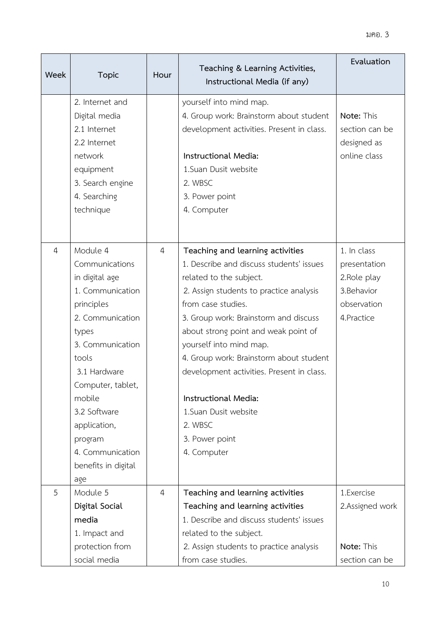| Week           | <b>Topic</b>        | Hour           | Teaching & Learning Activities,<br>Instructional Media (if any) | Evaluation      |
|----------------|---------------------|----------------|-----------------------------------------------------------------|-----------------|
|                | 2. Internet and     |                | yourself into mind map.                                         |                 |
|                | Digital media       |                | 4. Group work: Brainstorm about student                         | Note: This      |
|                | 2.1 Internet        |                | development activities. Present in class.                       | section can be  |
|                | 2.2 Internet        |                |                                                                 | designed as     |
|                | network             |                | Instructional Media:                                            | online class    |
|                | equipment           |                | 1. Suan Dusit website                                           |                 |
|                | 3. Search engine    |                | 2. WBSC                                                         |                 |
|                | 4. Searching        |                | 3. Power point                                                  |                 |
|                | technique           |                | 4. Computer                                                     |                 |
|                |                     |                |                                                                 |                 |
|                |                     |                |                                                                 |                 |
| $\overline{4}$ | Module 4            | $\overline{4}$ | Teaching and learning activities                                | 1. In class     |
|                | Communications      |                | 1. Describe and discuss students' issues                        | presentation    |
|                | in digital age      |                | related to the subject.                                         | 2. Role play    |
|                | 1. Communication    |                | 2. Assign students to practice analysis                         | 3.Behavior      |
|                | principles          |                | from case studies.                                              | observation     |
|                | 2. Communication    |                | 3. Group work: Brainstorm and discuss                           | 4. Practice     |
|                | types               |                | about strong point and weak point of                            |                 |
|                | 3. Communication    |                | yourself into mind map.                                         |                 |
|                | tools               |                | 4. Group work: Brainstorm about student                         |                 |
|                | 3.1 Hardware        |                | development activities. Present in class.                       |                 |
|                | Computer, tablet,   |                |                                                                 |                 |
|                | mobile              |                | Instructional Media:                                            |                 |
|                | 3.2 Software        |                | 1.Suan Dusit website                                            |                 |
|                | application,        |                | 2. WBSC                                                         |                 |
|                | program             |                | 3. Power point                                                  |                 |
|                | 4. Communication    |                | 4. Computer                                                     |                 |
|                | benefits in digital |                |                                                                 |                 |
|                | age                 |                |                                                                 |                 |
| 5              | Module 5            | $\overline{4}$ | Teaching and learning activities                                | 1.Exercise      |
|                | Digital Social      |                | Teaching and learning activities                                | 2.Assigned work |
|                | media               |                | 1. Describe and discuss students' issues                        |                 |
|                | 1. Impact and       |                | related to the subject.                                         |                 |
|                | protection from     |                | 2. Assign students to practice analysis                         | Note: This      |
|                | social media        |                | from case studies.                                              | section can be  |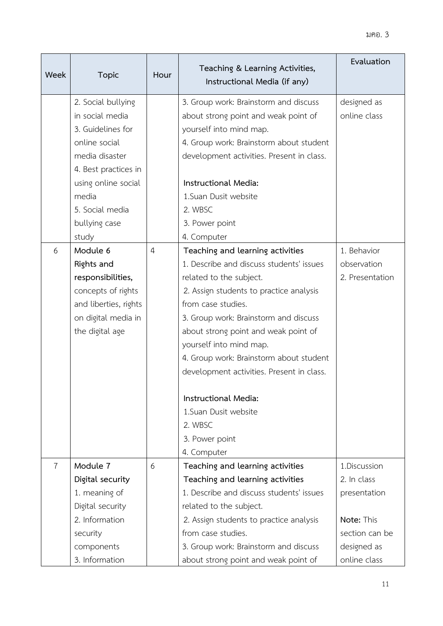| Week           | <b>Topic</b>                          | Hour           | Teaching & Learning Activities,<br>Instructional Media (if any) | Evaluation                  |
|----------------|---------------------------------------|----------------|-----------------------------------------------------------------|-----------------------------|
|                |                                       |                |                                                                 |                             |
|                | 2. Social bullying<br>in social media |                | 3. Group work: Brainstorm and discuss                           | designed as<br>online class |
|                | 3. Guidelines for                     |                | about strong point and weak point of                            |                             |
|                |                                       |                | yourself into mind map.                                         |                             |
|                | online social                         |                | 4. Group work: Brainstorm about student                         |                             |
|                | media disaster                        |                | development activities. Present in class.                       |                             |
|                | 4. Best practices in                  |                |                                                                 |                             |
|                | using online social                   |                | Instructional Media:                                            |                             |
|                | media                                 |                | 1. Suan Dusit website                                           |                             |
|                | 5. Social media                       |                | 2. WBSC                                                         |                             |
|                | bullying case                         |                | 3. Power point                                                  |                             |
|                | study                                 |                | 4. Computer                                                     |                             |
| 6              | Module 6                              | $\overline{4}$ | Teaching and learning activities                                | 1. Behavior                 |
|                | Rights and                            |                | 1. Describe and discuss students' issues                        | observation                 |
|                | responsibilities,                     |                | related to the subject.                                         | 2. Presentation             |
|                | concepts of rights                    |                | 2. Assign students to practice analysis                         |                             |
|                | and liberties, rights                 |                | from case studies.                                              |                             |
|                | on digital media in                   |                | 3. Group work: Brainstorm and discuss                           |                             |
|                | the digital age                       |                | about strong point and weak point of                            |                             |
|                |                                       |                | yourself into mind map.                                         |                             |
|                |                                       |                | 4. Group work: Brainstorm about student                         |                             |
|                |                                       |                | development activities. Present in class.                       |                             |
|                |                                       |                | Instructional Media:                                            |                             |
|                |                                       |                | 1.Suan Dusit website                                            |                             |
|                |                                       |                | 2. WBSC                                                         |                             |
|                |                                       |                | 3. Power point                                                  |                             |
|                |                                       |                | 4. Computer                                                     |                             |
| $\overline{7}$ | Module 7                              | 6              | Teaching and learning activities                                | 1.Discussion                |
|                | Digital security                      |                | Teaching and learning activities                                | 2. In class                 |
|                | 1. meaning of                         |                | 1. Describe and discuss students' issues                        | presentation                |
|                | Digital security                      |                | related to the subject.                                         |                             |
|                | 2. Information                        |                | 2. Assign students to practice analysis                         | Note: This                  |
|                | security                              |                | from case studies.                                              | section can be              |
|                | components                            |                | 3. Group work: Brainstorm and discuss                           | designed as                 |
|                | 3. Information                        |                | about strong point and weak point of                            | online class                |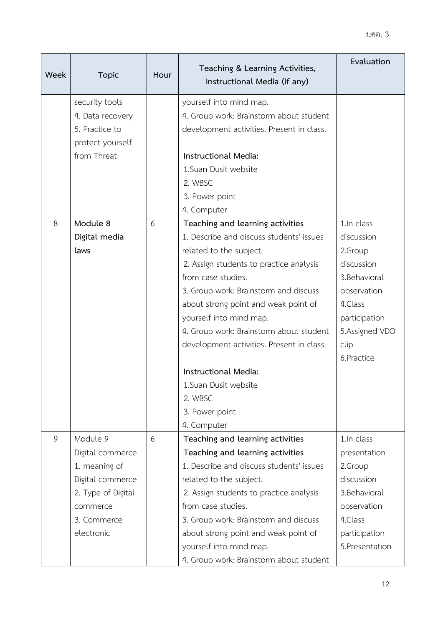| Week | <b>Topic</b>                                                             | Hour | Teaching & Learning Activities,<br>Instructional Media (if any)                                                 | Evaluation      |
|------|--------------------------------------------------------------------------|------|-----------------------------------------------------------------------------------------------------------------|-----------------|
|      | security tools<br>4. Data recovery<br>5. Practice to<br>protect yourself |      | yourself into mind map.<br>4. Group work: Brainstorm about student<br>development activities. Present in class. |                 |
|      | from Threat                                                              |      | Instructional Media:                                                                                            |                 |
|      |                                                                          |      | 1. Suan Dusit website                                                                                           |                 |
|      |                                                                          |      | 2. WBSC                                                                                                         |                 |
|      |                                                                          |      | 3. Power point                                                                                                  |                 |
|      |                                                                          |      | 4. Computer                                                                                                     |                 |
| 8    | Module 8                                                                 | 6    | Teaching and learning activities                                                                                | 1.In class      |
|      | Digital media                                                            |      | 1. Describe and discuss students' issues                                                                        | discussion      |
|      | laws                                                                     |      | related to the subject.                                                                                         | 2.Group         |
|      |                                                                          |      | 2. Assign students to practice analysis                                                                         | discussion      |
|      |                                                                          |      | from case studies.                                                                                              | 3. Behavioral   |
|      |                                                                          |      | 3. Group work: Brainstorm and discuss                                                                           | observation     |
|      |                                                                          |      | about strong point and weak point of                                                                            | 4.Class         |
|      |                                                                          |      | yourself into mind map.                                                                                         | participation   |
|      |                                                                          |      | 4. Group work: Brainstorm about student                                                                         | 5.Assigned VDO  |
|      |                                                                          |      | development activities. Present in class.                                                                       | clip            |
|      |                                                                          |      |                                                                                                                 | 6.Practice      |
|      |                                                                          |      | Instructional Media:                                                                                            |                 |
|      |                                                                          |      | 1. Suan Dusit website                                                                                           |                 |
|      |                                                                          |      | 2. WBSC                                                                                                         |                 |
|      |                                                                          |      | 3. Power point                                                                                                  |                 |
|      |                                                                          |      | 4. Computer                                                                                                     |                 |
| 9    | Module 9                                                                 | 6    | Teaching and learning activities                                                                                | 1.In class      |
|      | Digital commerce                                                         |      | Teaching and learning activities                                                                                | presentation    |
|      | 1. meaning of                                                            |      | 1. Describe and discuss students' issues                                                                        | 2.Group         |
|      | Digital commerce                                                         |      | related to the subject.                                                                                         | discussion      |
|      | 2. Type of Digital                                                       |      | 2. Assign students to practice analysis                                                                         | 3. Behavioral   |
|      | commerce                                                                 |      | from case studies.                                                                                              | observation     |
|      | 3. Commerce                                                              |      | 3. Group work: Brainstorm and discuss                                                                           | 4.Class         |
|      | electronic                                                               |      | about strong point and weak point of                                                                            | participation   |
|      |                                                                          |      | yourself into mind map.                                                                                         | 5. Presentation |
|      |                                                                          |      | 4. Group work: Brainstorm about student                                                                         |                 |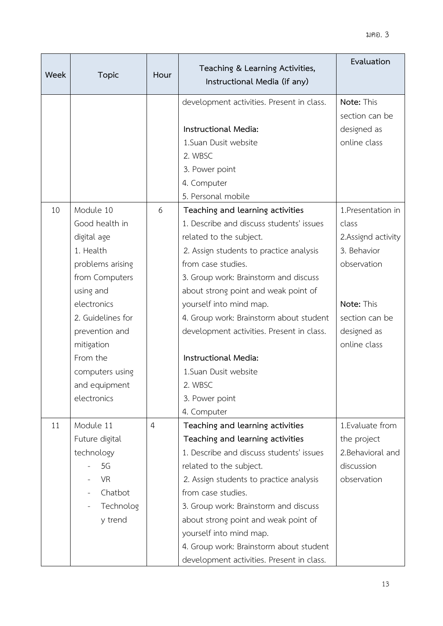| Week | <b>Topic</b>      | Hour           | Teaching & Learning Activities,<br>Instructional Media (if any) | Evaluation         |
|------|-------------------|----------------|-----------------------------------------------------------------|--------------------|
|      |                   |                | development activities. Present in class.                       | Note: This         |
|      |                   |                |                                                                 | section can be     |
|      |                   |                | Instructional Media:                                            | designed as        |
|      |                   |                | 1.Suan Dusit website                                            | online class       |
|      |                   |                | 2. WBSC                                                         |                    |
|      |                   |                | 3. Power point                                                  |                    |
|      |                   |                | 4. Computer                                                     |                    |
|      |                   |                | 5. Personal mobile                                              |                    |
| 10   | Module 10         | 6              | Teaching and learning activities                                | 1. Presentation in |
|      | Good health in    |                | 1. Describe and discuss students' issues                        | class              |
|      | digital age       |                | related to the subject.                                         | 2.Assignd activity |
|      | 1. Health         |                | 2. Assign students to practice analysis                         | 3. Behavior        |
|      | problems arising  |                | from case studies.                                              | observation        |
|      | from Computers    |                | 3. Group work: Brainstorm and discuss                           |                    |
|      | using and         |                | about strong point and weak point of                            |                    |
|      | electronics       |                | yourself into mind map.                                         | Note: This         |
|      | 2. Guidelines for |                | 4. Group work: Brainstorm about student                         | section can be     |
|      | prevention and    |                | development activities. Present in class.                       | designed as        |
|      | mitigation        |                |                                                                 | online class       |
|      | From the          |                | Instructional Media:                                            |                    |
|      | computers using   |                | 1.Suan Dusit website                                            |                    |
|      | and equipment     |                | 2. WBSC                                                         |                    |
|      | electronics       |                | 3. Power point                                                  |                    |
|      |                   |                | 4. Computer                                                     |                    |
| 11   | Module 11         | $\overline{4}$ | Teaching and learning activities                                | 1. Evaluate from   |
|      | Future digital    |                | Teaching and learning activities                                | the project        |
|      | technology        |                | 1. Describe and discuss students' issues                        | 2. Behavioral and  |
|      | 5G                |                | related to the subject.                                         | discussion         |
|      | <b>VR</b>         |                | 2. Assign students to practice analysis                         | observation        |
|      | Chatbot           |                | from case studies.                                              |                    |
|      | Technolog         |                | 3. Group work: Brainstorm and discuss                           |                    |
|      | y trend           |                | about strong point and weak point of                            |                    |
|      |                   |                | yourself into mind map.                                         |                    |
|      |                   |                | 4. Group work: Brainstorm about student                         |                    |
|      |                   |                | development activities. Present in class.                       |                    |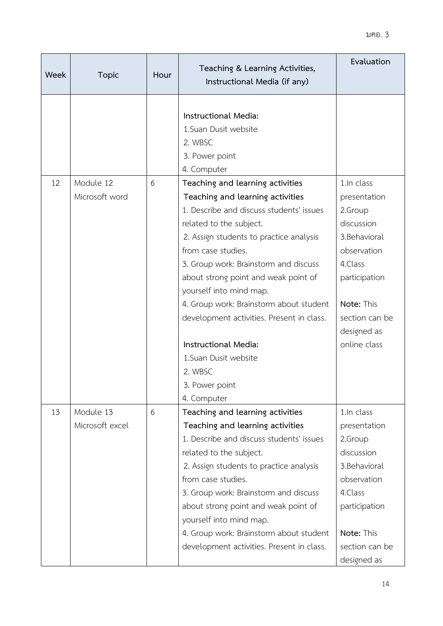| Week | <b>Topic</b>                 | Hour | Teaching & Learning Activities,<br>Instructional Media (if any)                                                                                                                                                                                                                                                                                                                                                                                                                                | Evaluation                                                                                                                                                                     |
|------|------------------------------|------|------------------------------------------------------------------------------------------------------------------------------------------------------------------------------------------------------------------------------------------------------------------------------------------------------------------------------------------------------------------------------------------------------------------------------------------------------------------------------------------------|--------------------------------------------------------------------------------------------------------------------------------------------------------------------------------|
|      |                              |      | Instructional Media:<br>1.Suan Dusit website<br>2. WBSC<br>3. Power point<br>4. Computer                                                                                                                                                                                                                                                                                                                                                                                                       |                                                                                                                                                                                |
| 12   | Module 12<br>Microsoft word  | 6    | Teaching and learning activities<br>Teaching and learning activities<br>1. Describe and discuss students' issues<br>related to the subject.<br>2. Assign students to practice analysis<br>from case studies.<br>3. Group work: Brainstorm and discuss<br>about strong point and weak point of<br>yourself into mind map.<br>4. Group work: Brainstorm about student<br>development activities. Present in class.<br>Instructional Media:<br>1. Suan Dusit website<br>2. WBSC<br>3. Power point | 1.In class<br>presentation<br>2.Group<br>discussion<br>3. Behavioral<br>observation<br>4.Class<br>participation<br>Note: This<br>section can be<br>designed as<br>online class |
| 13   | Module 13<br>Microsoft excel | 6    | 4. Computer<br>Teaching and learning activities<br>Teaching and learning activities<br>1. Describe and discuss students' issues<br>related to the subject.<br>2. Assign students to practice analysis<br>from case studies.<br>3. Group work: Brainstorm and discuss<br>about strong point and weak point of<br>yourself into mind map.<br>4. Group work: Brainstorm about student<br>development activities. Present in class.                                                                | 1.In class<br>presentation<br>2.Group<br>discussion<br>3.Behavioral<br>observation<br>4.Class<br>participation<br>Note: This<br>section can be<br>designed as                  |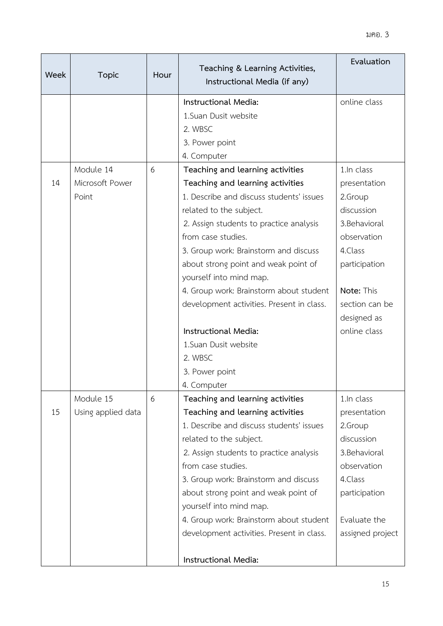| Week | <b>Topic</b>                          | Hour | Teaching & Learning Activities,<br>Instructional Media (if any)                                                                                                                                                                                                                                                                                                                                                                                                   | Evaluation                                                                                                                                                                    |
|------|---------------------------------------|------|-------------------------------------------------------------------------------------------------------------------------------------------------------------------------------------------------------------------------------------------------------------------------------------------------------------------------------------------------------------------------------------------------------------------------------------------------------------------|-------------------------------------------------------------------------------------------------------------------------------------------------------------------------------|
|      |                                       |      | Instructional Media:<br>1. Suan Dusit website<br>2. WBSC<br>3. Power point                                                                                                                                                                                                                                                                                                                                                                                        | online class                                                                                                                                                                  |
|      |                                       |      | 4. Computer                                                                                                                                                                                                                                                                                                                                                                                                                                                       |                                                                                                                                                                               |
| 14   | Module 14<br>Microsoft Power<br>Point | 6    | Teaching and learning activities<br>Teaching and learning activities<br>1. Describe and discuss students' issues<br>related to the subject.<br>2. Assign students to practice analysis<br>from case studies.<br>3. Group work: Brainstorm and discuss<br>about strong point and weak point of<br>yourself into mind map.<br>4. Group work: Brainstorm about student<br>development activities. Present in class.<br>Instructional Media:<br>1. Suan Dusit website | 1.In class<br>presentation<br>2.Group<br>discussion<br>3.Behavioral<br>observation<br>4.Class<br>participation<br>Note: This<br>section can be<br>designed as<br>online class |
|      |                                       |      | 2. WBSC<br>3. Power point                                                                                                                                                                                                                                                                                                                                                                                                                                         |                                                                                                                                                                               |
| 15   | Module 15<br>Using applied data       | 6    | 4. Computer<br>Teaching and learning activities<br>Teaching and learning activities<br>1. Describe and discuss students' issues<br>related to the subject.<br>2. Assign students to practice analysis<br>from case studies.<br>3. Group work: Brainstorm and discuss<br>about strong point and weak point of<br>yourself into mind map.<br>4. Group work: Brainstorm about student<br>development activities. Present in class.<br>Instructional Media:           | 1.In class<br>presentation<br>2.Group<br>discussion<br>3.Behavioral<br>observation<br>4.Class<br>participation<br>Evaluate the<br>assigned project                            |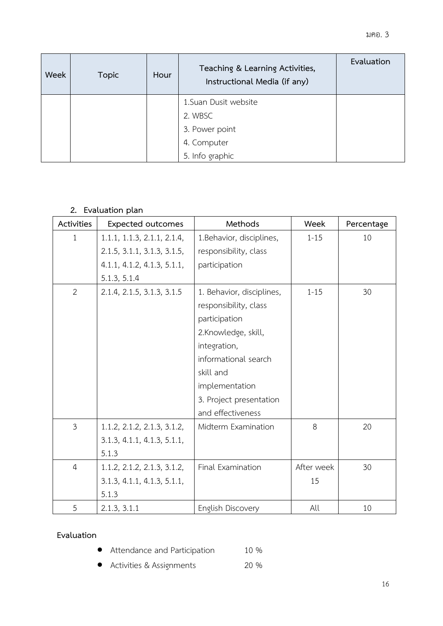| <b>Week</b> | <b>Topic</b> | Hour | Teaching & Learning Activities,<br>Instructional Media (if any) | Evaluation |
|-------------|--------------|------|-----------------------------------------------------------------|------------|
|             |              |      | 1. Suan Dusit website                                           |            |
|             |              |      | 2. WBSC                                                         |            |
|             |              |      | 3. Power point                                                  |            |
|             |              |      | 4. Computer                                                     |            |
|             |              |      | 5. Info graphic                                                 |            |

# **2. Evaluation plan**

| <b>Activities</b> | <b>Expected outcomes</b>    | Methods                   | Week       | Percentage |
|-------------------|-----------------------------|---------------------------|------------|------------|
| 1                 | 1.1.1, 1.1.3, 2.1.1, 2.1.4, | 1. Behavior, disciplines, | $1 - 15$   | 10         |
|                   | 2.1.5, 3.1.1, 3.1.3, 3.1.5, | responsibility, class     |            |            |
|                   | 4.1.1, 4.1.2, 4.1.3, 5.1.1, | participation             |            |            |
|                   | 5.1.3, 5.1.4                |                           |            |            |
| $\overline{2}$    | 2.1.4, 2.1.5, 3.1.3, 3.1.5  | 1. Behavior, disciplines, | $1 - 15$   | 30         |
|                   |                             | responsibility, class     |            |            |
|                   |                             | participation             |            |            |
|                   |                             | 2.Knowledge, skill,       |            |            |
|                   |                             | integration,              |            |            |
|                   |                             | informational search      |            |            |
|                   |                             | skill and                 |            |            |
|                   |                             | implementation            |            |            |
|                   |                             | 3. Project presentation   |            |            |
|                   |                             | and effectiveness         |            |            |
| $\mathfrak{Z}$    | 1.1.2, 2.1.2, 2.1.3, 3.1.2, | Midterm Examination       | 8          | 20         |
|                   | 3.1.3, 4.1.1, 4.1.3, 5.1.1, |                           |            |            |
|                   | 5.1.3                       |                           |            |            |
| $\overline{4}$    | 1.1.2, 2.1.2, 2.1.3, 3.1.2, | Final Examination         | After week | 30         |
|                   | 3.1.3, 4.1.1, 4.1.3, 5.1.1, |                           | 15         |            |
|                   | 5.1.3                       |                           |            |            |
| 5                 | 2.1.3, 3.1.1                | English Discovery         | All        | 10         |

# **Evaluation**

- Attendance and Participation 10 %
- Activities & Assignments 20 %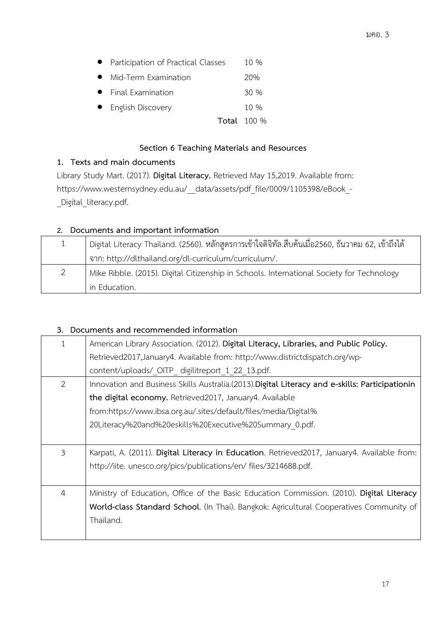|                                      | <b>Total</b> 100 % |
|--------------------------------------|--------------------|
| • English Discovery                  | $10\%$             |
| • Final Examination                  | 30%                |
| • Mid-Term Examination               | 20%                |
| • Participation of Practical Classes | 10 %               |

## **Section 6 Teaching Materials and Resources**

## **1. Texts and main documents**

Library Study Mart. (2017). **Digital Literacy.** Retrieved May 15,2019. Available from: https://www.westernsydney.edu.au/\_\_data/assets/pdf\_file/0009/1105398/eBook\_- \_Digital\_literacy.pdf.

## **2. Documents and important information**

| 1 | - Digital Literacy Thailand. (2560). หลักสูตรการเข้าใจดิจิทัล.สืบค้นเมื่อ2560, ธันวาคม 62, เข้าถึงได้ |  |
|---|-------------------------------------------------------------------------------------------------------|--|
|   | จาก: http://dlthailand.org/dl-curriculum/curriculum/.                                                 |  |
| 2 | Mike Ribble. (2015). Digital Citizenship in Schools. International Society for Technology             |  |
|   | in Education.                                                                                         |  |

## **3. Documents and recommended information**

| 1              | American Library Association. (2012). Digital Literacy, Libraries, and Public Policy.<br>Retrieved2017, January4. Available from: http://www.districtdispatch.org/wp- |  |
|----------------|-----------------------------------------------------------------------------------------------------------------------------------------------------------------------|--|
|                | content/uploads/ OITP digilitreport 1 22 13.pdf.                                                                                                                      |  |
| $\overline{2}$ | Innovation and Business Skills Australia.(2013). Digital Literacy and e-skills: Participationin                                                                       |  |
|                | the digital economy. Retrieved2017, January4. Available                                                                                                               |  |
|                | from:https://www.ibsa.org.au/.sites/default/files/media/Digital%                                                                                                      |  |
|                | 20Literacy%20and%20eskills%20Executive%20Summary 0.pdf.                                                                                                               |  |
|                |                                                                                                                                                                       |  |
| 3              | Karpati, A. (2011). Digital Literacy in Education. Retrieved2017, January4. Available from:                                                                           |  |
|                | http://iite. unesco.org/pics/publications/en/ files/3214688.pdf.                                                                                                      |  |
|                |                                                                                                                                                                       |  |
| $\overline{4}$ | Ministry of Education, Office of the Basic Education Commission. (2010). Digital Literacy                                                                             |  |
|                | World-class Standard School. (In Thai). Bangkok: Agricultural Cooperatives Community of                                                                               |  |
|                | Thailand.                                                                                                                                                             |  |
|                |                                                                                                                                                                       |  |